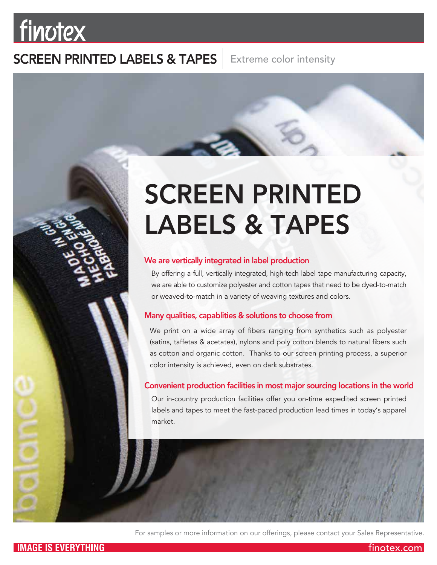# finotex

## SCREEN PRINTED LABELS & TAPES

Extreme color intensity

# SCREEN PRINTED LABELS & TAPES

## We are vertically integrated in label production

By offering a full, vertically integrated, high-tech label tape manufacturing capacity, we are able to customize polyester and cotton tapes that need to be dyed-to-match or weaved-to-match in a variety of weaving textures and colors.

## Many qualities, capablities & solutions to choose from

We print on a wide array of fibers ranging from synthetics such as polyester (satins, taffetas & acetates), nylons and poly cotton blends to natural fibers such as cotton and organic cotton. Thanks to our screen printing process, a superior color intensity is achieved, even on dark substrates.

## Convenient production facilities in most major sourcing locations in the world

Our in-country production facilities offer you on-time expedited screen printed labels and tapes to meet the fast-paced production lead times in today's apparel market.



For samples or more information on our offerings, please contact your Sales Representative.

finotex.com